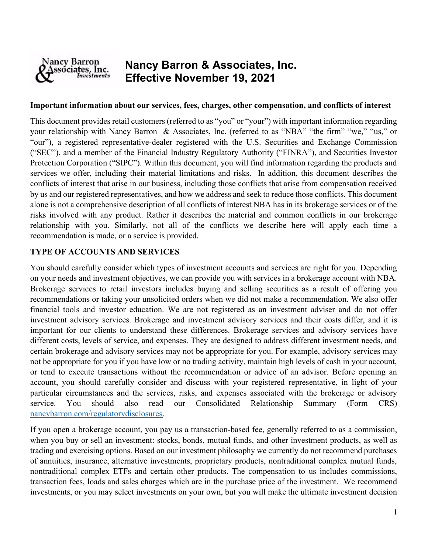

# Nancy Barron & Associates, Inc. Effective November 19, 2021

#### Important information about our services, fees, charges, other compensation, and conflicts of interest

This document provides retail customers (referred to as "you" or "your") with important information regarding your relationship with Nancy Barron & Associates, Inc. (referred to as "NBA" "the firm" "we," "us," or "our"), a registered representative-dealer registered with the U.S. Securities and Exchange Commission ("SEC"), and a member of the Financial Industry Regulatory Authority ("FINRA"), and Securities Investor Protection Corporation ("SIPC"). Within this document, you will find information regarding the products and services we offer, including their material limitations and risks. In addition, this document describes the conflicts of interest that arise in our business, including those conflicts that arise from compensation received by us and our registered representatives, and how we address and seek to reduce those conflicts. This document alone is not a comprehensive description of all conflicts of interest NBA has in its brokerage services or of the risks involved with any product. Rather it describes the material and common conflicts in our brokerage relationship with you. Similarly, not all of the conflicts we describe here will apply each time a recommendation is made, or a service is provided.

## TYPE OF ACCOUNTS AND SERVICES

You should carefully consider which types of investment accounts and services are right for you. Depending on your needs and investment objectives, we can provide you with services in a brokerage account with NBA. Brokerage services to retail investors includes buying and selling securities as a result of offering you recommendations or taking your unsolicited orders when we did not make a recommendation. We also offer financial tools and investor education. We are not registered as an investment adviser and do not offer investment advisory services. Brokerage and investment advisory services and their costs differ, and it is important for our clients to understand these differences. Brokerage services and advisory services have different costs, levels of service, and expenses. They are designed to address different investment needs, and certain brokerage and advisory services may not be appropriate for you. For example, advisory services may not be appropriate for you if you have low or no trading activity, maintain high levels of cash in your account, or tend to execute transactions without the recommendation or advice of an advisor. Before opening an account, you should carefully consider and discuss with your registered representative, in light of your particular circumstances and the services, risks, and expenses associated with the brokerage or advisory service. You should also read our Consolidated Relationship Summary (Form CRS) nancybarron.com/regulatorydisclosures.

If you open a brokerage account, you pay us a transaction-based fee, generally referred to as a commission, when you buy or sell an investment: stocks, bonds, mutual funds, and other investment products, as well as trading and exercising options. Based on our investment philosophy we currently do not recommend purchases of annuities, insurance, alternative investments, proprietary products, nontraditional complex mutual funds, nontraditional complex ETFs and certain other products. The compensation to us includes commissions, transaction fees, loads and sales charges which are in the purchase price of the investment. We recommend investments, or you may select investments on your own, but you will make the ultimate investment decision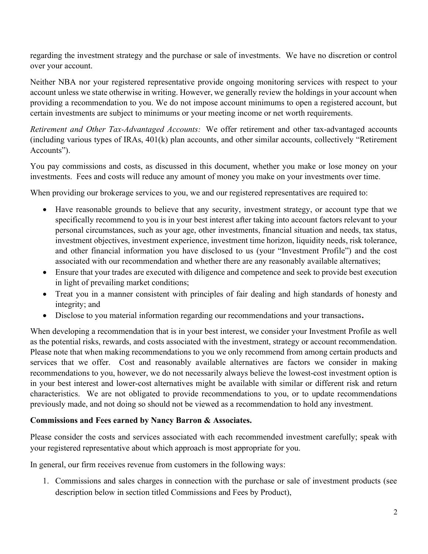regarding the investment strategy and the purchase or sale of investments. We have no discretion or control over your account.

Neither NBA nor your registered representative provide ongoing monitoring services with respect to your account unless we state otherwise in writing. However, we generally review the holdings in your account when providing a recommendation to you. We do not impose account minimums to open a registered account, but certain investments are subject to minimums or your meeting income or net worth requirements.

Retirement and Other Tax-Advantaged Accounts: We offer retirement and other tax-advantaged accounts (including various types of IRAs, 401(k) plan accounts, and other similar accounts, collectively "Retirement Accounts").

You pay commissions and costs, as discussed in this document, whether you make or lose money on your investments. Fees and costs will reduce any amount of money you make on your investments over time.

When providing our brokerage services to you, we and our registered representatives are required to:

- Have reasonable grounds to believe that any security, investment strategy, or account type that we specifically recommend to you is in your best interest after taking into account factors relevant to your personal circumstances, such as your age, other investments, financial situation and needs, tax status, investment objectives, investment experience, investment time horizon, liquidity needs, risk tolerance, and other financial information you have disclosed to us (your "Investment Profile") and the cost associated with our recommendation and whether there are any reasonably available alternatives;
- Ensure that your trades are executed with diligence and competence and seek to provide best execution in light of prevailing market conditions;
- Treat you in a manner consistent with principles of fair dealing and high standards of honesty and integrity; and
- Disclose to you material information regarding our recommendations and your transactions.

When developing a recommendation that is in your best interest, we consider your Investment Profile as well as the potential risks, rewards, and costs associated with the investment, strategy or account recommendation. Please note that when making recommendations to you we only recommend from among certain products and services that we offer. Cost and reasonably available alternatives are factors we consider in making recommendations to you, however, we do not necessarily always believe the lowest-cost investment option is in your best interest and lower-cost alternatives might be available with similar or different risk and return characteristics. We are not obligated to provide recommendations to you, or to update recommendations previously made, and not doing so should not be viewed as a recommendation to hold any investment.

#### Commissions and Fees earned by Nancy Barron & Associates.

Please consider the costs and services associated with each recommended investment carefully; speak with your registered representative about which approach is most appropriate for you.

In general, our firm receives revenue from customers in the following ways:

1. Commissions and sales charges in connection with the purchase or sale of investment products (see description below in section titled Commissions and Fees by Product),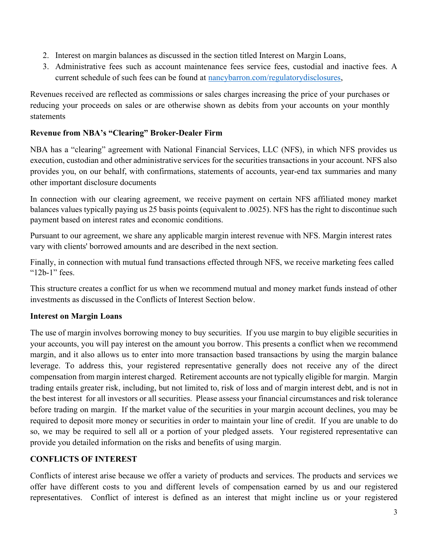- 2. Interest on margin balances as discussed in the section titled Interest on Margin Loans,
- 3. Administrative fees such as account maintenance fees service fees, custodial and inactive fees. A current schedule of such fees can be found at nancybarron.com/regulatorydisclosures,

Revenues received are reflected as commissions or sales charges increasing the price of your purchases or reducing your proceeds on sales or are otherwise shown as debits from your accounts on your monthly statements

## Revenue from NBA's "Clearing" Broker-Dealer Firm

NBA has a "clearing" agreement with National Financial Services, LLC (NFS), in which NFS provides us execution, custodian and other administrative services for the securities transactions in your account. NFS also provides you, on our behalf, with confirmations, statements of accounts, year-end tax summaries and many other important disclosure documents

In connection with our clearing agreement, we receive payment on certain NFS affiliated money market balances values typically paying us 25 basis points (equivalent to .0025). NFS has the right to discontinue such payment based on interest rates and economic conditions.

Pursuant to our agreement, we share any applicable margin interest revenue with NFS. Margin interest rates vary with clients' borrowed amounts and are described in the next section.

Finally, in connection with mutual fund transactions effected through NFS, we receive marketing fees called "12b-1" fees.

This structure creates a conflict for us when we recommend mutual and money market funds instead of other investments as discussed in the Conflicts of Interest Section below.

# Interest on Margin Loans

The use of margin involves borrowing money to buy securities. If you use margin to buy eligible securities in your accounts, you will pay interest on the amount you borrow. This presents a conflict when we recommend margin, and it also allows us to enter into more transaction based transactions by using the margin balance leverage. To address this, your registered representative generally does not receive any of the direct compensation from margin interest charged. Retirement accounts are not typically eligible for margin. Margin trading entails greater risk, including, but not limited to, risk of loss and of margin interest debt, and is not in the best interest for all investors or all securities. Please assess your financial circumstances and risk tolerance before trading on margin. If the market value of the securities in your margin account declines, you may be required to deposit more money or securities in order to maintain your line of credit. If you are unable to do so, we may be required to sell all or a portion of your pledged assets. Your registered representative can provide you detailed information on the risks and benefits of using margin.

# CONFLICTS OF INTEREST

Conflicts of interest arise because we offer a variety of products and services. The products and services we offer have different costs to you and different levels of compensation earned by us and our registered representatives. Conflict of interest is defined as an interest that might incline us or your registered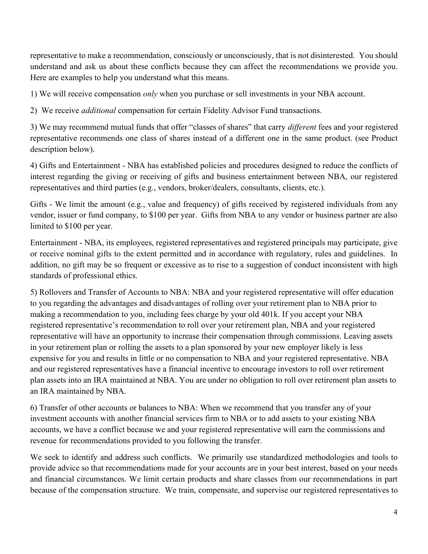representative to make a recommendation, consciously or unconsciously, that is not disinterested. You should understand and ask us about these conflicts because they can affect the recommendations we provide you. Here are examples to help you understand what this means.

1) We will receive compensation only when you purchase or sell investments in your NBA account.

2) We receive *additional* compensation for certain Fidelity Advisor Fund transactions.

3) We may recommend mutual funds that offer "classes of shares" that carry different fees and your registered representative recommends one class of shares instead of a different one in the same product. (see Product description below).

4) Gifts and Entertainment - NBA has established policies and procedures designed to reduce the conflicts of interest regarding the giving or receiving of gifts and business entertainment between NBA, our registered representatives and third parties (e.g., vendors, broker/dealers, consultants, clients, etc.).

Gifts - We limit the amount (e.g., value and frequency) of gifts received by registered individuals from any vendor, issuer or fund company, to \$100 per year. Gifts from NBA to any vendor or business partner are also limited to \$100 per year.

Entertainment - NBA, its employees, registered representatives and registered principals may participate, give or receive nominal gifts to the extent permitted and in accordance with regulatory, rules and guidelines. In addition, no gift may be so frequent or excessive as to rise to a suggestion of conduct inconsistent with high standards of professional ethics.

5) Rollovers and Transfer of Accounts to NBA: NBA and your registered representative will offer education to you regarding the advantages and disadvantages of rolling over your retirement plan to NBA prior to making a recommendation to you, including fees charge by your old 401k. If you accept your NBA registered representative's recommendation to roll over your retirement plan, NBA and your registered representative will have an opportunity to increase their compensation through commissions. Leaving assets in your retirement plan or rolling the assets to a plan sponsored by your new employer likely is less expensive for you and results in little or no compensation to NBA and your registered representative. NBA and our registered representatives have a financial incentive to encourage investors to roll over retirement plan assets into an IRA maintained at NBA. You are under no obligation to roll over retirement plan assets to an IRA maintained by NBA.

6) Transfer of other accounts or balances to NBA: When we recommend that you transfer any of your investment accounts with another financial services firm to NBA or to add assets to your existing NBA accounts, we have a conflict because we and your registered representative will earn the commissions and revenue for recommendations provided to you following the transfer.

We seek to identify and address such conflicts. We primarily use standardized methodologies and tools to provide advice so that recommendations made for your accounts are in your best interest, based on your needs and financial circumstances. We limit certain products and share classes from our recommendations in part because of the compensation structure. We train, compensate, and supervise our registered representatives to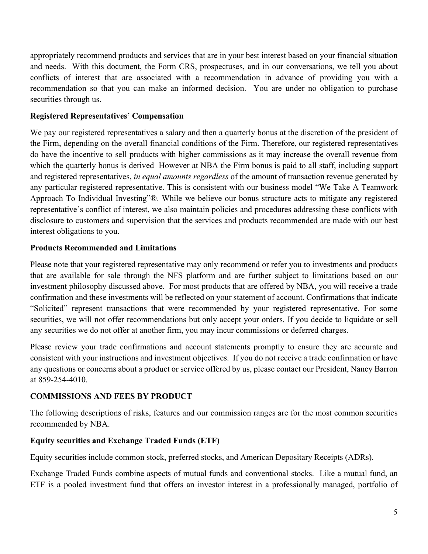appropriately recommend products and services that are in your best interest based on your financial situation and needs. With this document, the Form CRS, prospectuses, and in our conversations, we tell you about conflicts of interest that are associated with a recommendation in advance of providing you with a recommendation so that you can make an informed decision. You are under no obligation to purchase securities through us.

#### Registered Representatives' Compensation

We pay our registered representatives a salary and then a quarterly bonus at the discretion of the president of the Firm, depending on the overall financial conditions of the Firm. Therefore, our registered representatives do have the incentive to sell products with higher commissions as it may increase the overall revenue from which the quarterly bonus is derived However at NBA the Firm bonus is paid to all staff, including support and registered representatives, in equal amounts regardless of the amount of transaction revenue generated by any particular registered representative. This is consistent with our business model "We Take A Teamwork Approach To Individual Investing"®. While we believe our bonus structure acts to mitigate any registered representative's conflict of interest, we also maintain policies and procedures addressing these conflicts with disclosure to customers and supervision that the services and products recommended are made with our best interest obligations to you.

#### Products Recommended and Limitations

Please note that your registered representative may only recommend or refer you to investments and products that are available for sale through the NFS platform and are further subject to limitations based on our investment philosophy discussed above. For most products that are offered by NBA, you will receive a trade confirmation and these investments will be reflected on your statement of account. Confirmations that indicate "Solicited" represent transactions that were recommended by your registered representative. For some securities, we will not offer recommendations but only accept your orders. If you decide to liquidate or sell any securities we do not offer at another firm, you may incur commissions or deferred charges.

Please review your trade confirmations and account statements promptly to ensure they are accurate and consistent with your instructions and investment objectives. If you do not receive a trade confirmation or have any questions or concerns about a product or service offered by us, please contact our President, Nancy Barron at 859-254-4010.

#### COMMISSIONS AND FEES BY PRODUCT

The following descriptions of risks, features and our commission ranges are for the most common securities recommended by NBA.

#### Equity securities and Exchange Traded Funds (ETF)

Equity securities include common stock, preferred stocks, and American Depositary Receipts (ADRs).

Exchange Traded Funds combine aspects of mutual funds and conventional stocks. Like a mutual fund, an ETF is a pooled investment fund that offers an investor interest in a professionally managed, portfolio of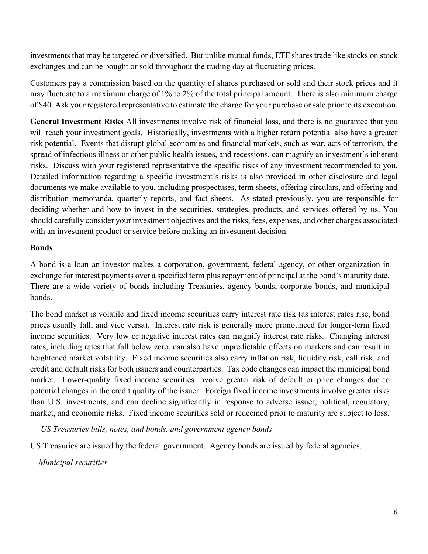investments that may be targeted or diversified. But unlike mutual funds, ETF shares trade like stocks on stock exchanges and can be bought or sold throughout the trading day at fluctuating prices.

Customers pay a commission based on the quantity of shares purchased or sold and their stock prices and it may fluctuate to a maximum charge of 1% to 2% of the total principal amount. There is also minimum charge of \$40. Ask your registered representative to estimate the charge for your purchase or sale prior to its execution.

General Investment Risks All investments involve risk of financial loss, and there is no guarantee that you will reach your investment goals. Historically, investments with a higher return potential also have a greater risk potential. Events that disrupt global economies and financial markets, such as war, acts of terrorism, the spread of infectious illness or other public health issues, and recessions, can magnify an investment's inherent risks. Discuss with your registered representative the specific risks of any investment recommended to you. Detailed information regarding a specific investment's risks is also provided in other disclosure and legal documents we make available to you, including prospectuses, term sheets, offering circulars, and offering and distribution memoranda, quarterly reports, and fact sheets. As stated previously, you are responsible for deciding whether and how to invest in the securities, strategies, products, and services offered by us. You should carefully consider your investment objectives and the risks, fees, expenses, and other charges associated with an investment product or service before making an investment decision.

#### Bonds

A bond is a loan an investor makes a corporation, government, federal agency, or other organization in exchange for interest payments over a specified term plus repayment of principal at the bond's maturity date. There are a wide variety of bonds including Treasuries, agency bonds, corporate bonds, and municipal bonds.

The bond market is volatile and fixed income securities carry interest rate risk (as interest rates rise, bond prices usually fall, and vice versa). Interest rate risk is generally more pronounced for longer-term fixed income securities. Very low or negative interest rates can magnify interest rate risks. Changing interest rates, including rates that fall below zero, can also have unpredictable effects on markets and can result in heightened market volatility. Fixed income securities also carry inflation risk, liquidity risk, call risk, and credit and default risks for both issuers and counterparties. Tax code changes can impact the municipal bond market. Lower-quality fixed income securities involve greater risk of default or price changes due to potential changes in the credit quality of the issuer. Foreign fixed income investments involve greater risks than U.S. investments, and can decline significantly in response to adverse issuer, political, regulatory, market, and economic risks. Fixed income securities sold or redeemed prior to maturity are subject to loss.

US Treasuries bills, notes, and bonds, and government agency bonds

US Treasuries are issued by the federal government. Agency bonds are issued by federal agencies.

Municipal securities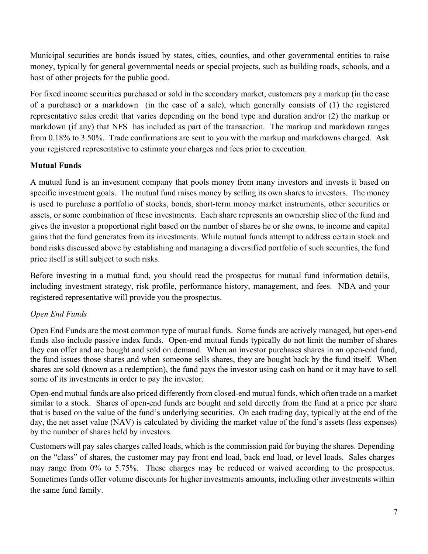Municipal securities are bonds issued by states, cities, counties, and other governmental entities to raise money, typically for general governmental needs or special projects, such as building roads, schools, and a host of other projects for the public good.

For fixed income securities purchased or sold in the secondary market, customers pay a markup (in the case of a purchase) or a markdown (in the case of a sale), which generally consists of (1) the registered representative sales credit that varies depending on the bond type and duration and/or (2) the markup or markdown (if any) that NFS has included as part of the transaction. The markup and markdown ranges from 0.18% to 3.50%. Trade confirmations are sent to you with the markup and markdowns charged. Ask your registered representative to estimate your charges and fees prior to execution.

# Mutual Funds

A mutual fund is an investment company that pools money from many investors and invests it based on specific investment goals. The mutual fund raises money by selling its own shares to investors. The money is used to purchase a portfolio of stocks, bonds, short-term money market instruments, other securities or assets, or some combination of these investments. Each share represents an ownership slice of the fund and gives the investor a proportional right based on the number of shares he or she owns, to income and capital gains that the fund generates from its investments. While mutual funds attempt to address certain stock and bond risks discussed above by establishing and managing a diversified portfolio of such securities, the fund price itself is still subject to such risks.

Before investing in a mutual fund, you should read the prospectus for mutual fund information details, including investment strategy, risk profile, performance history, management, and fees. NBA and your registered representative will provide you the prospectus.

# Open End Funds

Open End Funds are the most common type of mutual funds. Some funds are actively managed, but open-end funds also include passive index funds. Open-end mutual funds typically do not limit the number of shares they can offer and are bought and sold on demand. When an investor purchases shares in an open-end fund, the fund issues those shares and when someone sells shares, they are bought back by the fund itself. When shares are sold (known as a redemption), the fund pays the investor using cash on hand or it may have to sell some of its investments in order to pay the investor.

Open-end mutual funds are also priced differently from closed-end mutual funds, which often trade on a market similar to a stock. Shares of open-end funds are bought and sold directly from the fund at a price per share that is based on the value of the fund's underlying securities. On each trading day, typically at the end of the day, the net asset value (NAV) is calculated by dividing the market value of the fund's assets (less expenses) by the number of shares held by investors.

Customers will pay sales charges called loads, which is the commission paid for buying the shares. Depending on the "class" of shares, the customer may pay front end load, back end load, or level loads. Sales charges may range from 0% to 5.75%. These charges may be reduced or waived according to the prospectus. Sometimes funds offer volume discounts for higher investments amounts, including other investments within the same fund family.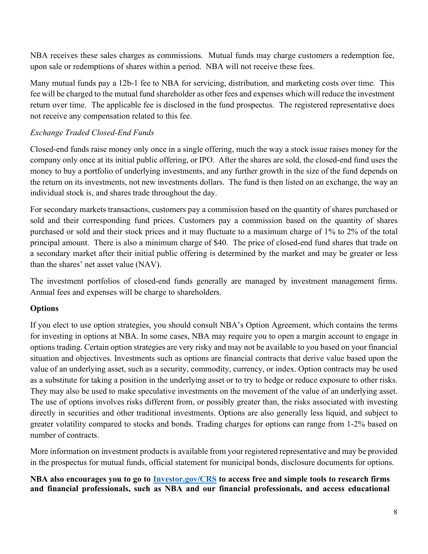NBA receives these sales charges as commissions. Mutual funds may charge customers a redemption fee, upon sale or redemptions of shares within a period. NBA will not receive these fees.

Many mutual funds pay a 12b-1 fee to NBA for servicing, distribution, and marketing costs over time. This fee will be charged to the mutual fund shareholder as other fees and expenses which will reduce the investment return over time. The applicable fee is disclosed in the fund prospectus. The registered representative does not receive any compensation related to this fee.

# Exchange Traded Closed-End Funds

Closed-end funds raise money only once in a single offering, much the way a stock issue raises money for the company only once at its initial public offering, or IPO. After the shares are sold, the closed-end fund uses the money to buy a portfolio of underlying investments, and any further growth in the size of the fund depends on the return on its investments, not new investments dollars. The fund is then listed on an exchange, the way an individual stock is, and shares trade throughout the day.

For secondary markets transactions, customers pay a commission based on the quantity of shares purchased or sold and their corresponding fund prices. Customers pay a commission based on the quantity of shares purchased or sold and their stock prices and it may fluctuate to a maximum charge of 1% to 2% of the total principal amount. There is also a minimum charge of \$40. The price of closed-end fund shares that trade on a secondary market after their initial public offering is determined by the market and may be greater or less than the shares' net asset value (NAV).

The investment portfolios of closed-end funds generally are managed by investment management firms. Annual fees and expenses will be charge to shareholders.

# **Options**

If you elect to use option strategies, you should consult NBA's Option Agreement, which contains the terms for investing in options at NBA. In some cases, NBA may require you to open a margin account to engage in options trading. Certain option strategies are very risky and may not be available to you based on your financial situation and objectives. Investments such as options are financial contracts that derive value based upon the value of an underlying asset, such as a security, commodity, currency, or index. Option contracts may be used as a substitute for taking a position in the underlying asset or to try to hedge or reduce exposure to other risks. They may also be used to make speculative investments on the movement of the value of an underlying asset. The use of options involves risks different from, or possibly greater than, the risks associated with investing directly in securities and other traditional investments. Options are also generally less liquid, and subject to greater volatility compared to stocks and bonds. Trading charges for options can range from 1-2% based on number of contracts.

More information on investment products is available from your registered representative and may be provided in the prospectus for mutual funds, official statement for municipal bonds, disclosure documents for options.

## NBA also encourages you to go to Investor.gov/CRS to access free and simple tools to research firms and financial professionals, such as NBA and our financial professionals, and access educational